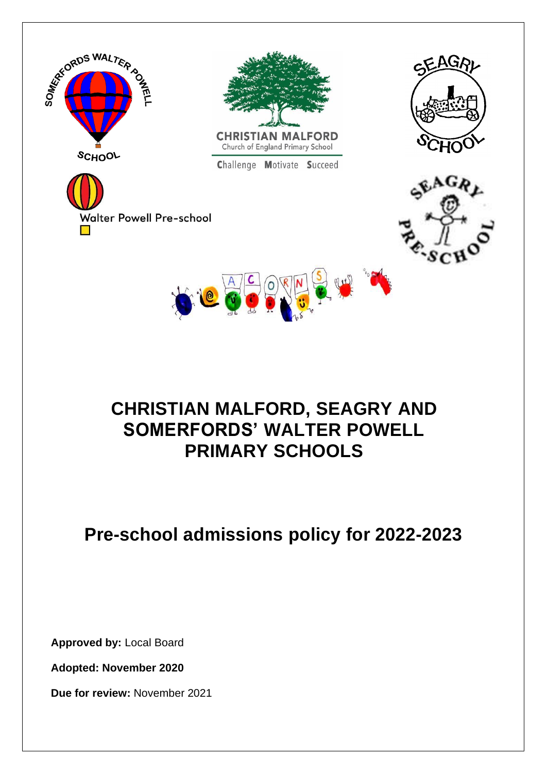

# **CHRISTIAN MALFORD, SEAGRY AND SOMERFORDS' WALTER POWELL PRIMARY SCHOOLS**

# **Pre-school admissions policy for 2022-2023**

**Approved by:** Local Board

**Adopted: November 2020**

**Due for review:** November 2021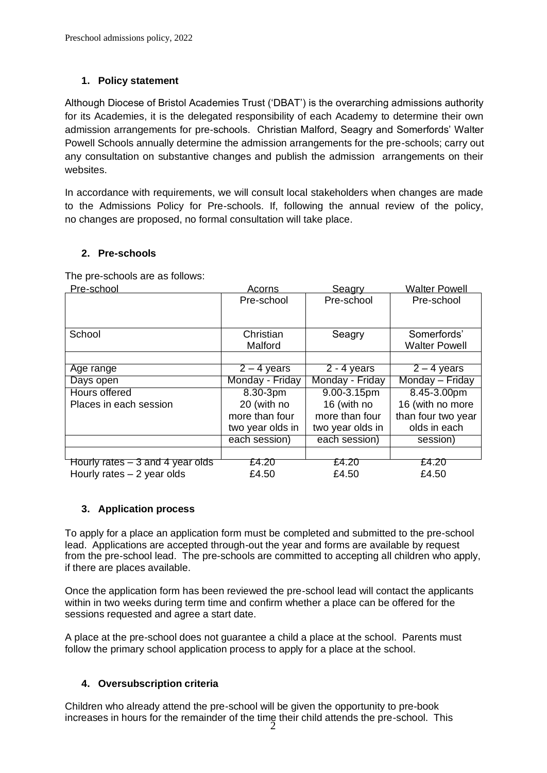### **1. Policy statement**

Although Diocese of Bristol Academies Trust ('DBAT') is the overarching admissions authority for its Academies, it is the delegated responsibility of each Academy to determine their own admission arrangements for pre-schools. Christian Malford, Seagry and Somerfords' Walter Powell Schools annually determine the admission arrangements for the pre-schools; carry out any consultation on substantive changes and publish the admission arrangements on their websites.

In accordance with requirements, we will consult local stakeholders when changes are made to the Admissions Policy for Pre-schools. If, following the annual review of the policy, no changes are proposed, no formal consultation will take place.

### **2. Pre-schools**

The pre-schools are as follows:

| Pre-school                        | Acorns           | Seagry           | <b>Walter Powell</b> |
|-----------------------------------|------------------|------------------|----------------------|
|                                   | Pre-school       | Pre-school       | Pre-school           |
|                                   |                  |                  |                      |
|                                   |                  |                  |                      |
| School                            | Christian        | Seagry           | Somerfords'          |
|                                   | Malford          |                  | <b>Walter Powell</b> |
|                                   |                  |                  |                      |
| Age range                         | $2 - 4$ years    | $2 - 4$ years    | $2 - 4$ years        |
| Days open                         | Monday - Friday  | Monday - Friday  | Monday - Friday      |
| <b>Hours offered</b>              | 8.30-3pm         | 9.00-3.15pm      | 8.45-3.00pm          |
| Places in each session            | 20 (with no      | 16 (with no      | 16 (with no more     |
|                                   | more than four   | more than four   | than four two year   |
|                                   | two year olds in | two year olds in | olds in each         |
|                                   | each session)    | each session)    | session)             |
|                                   |                  |                  |                      |
| Hourly rates $-3$ and 4 year olds | £4.20            | £4.20            | £4.20                |
| Hourly rates $-2$ year olds       | £4.50            | £4.50            | £4.50                |

### **3. Application process**

To apply for a place an application form must be completed and submitted to the pre-school lead. Applications are accepted through-out the year and forms are available by request from the pre-school lead. The pre-schools are committed to accepting all children who apply, if there are places available.

Once the application form has been reviewed the pre-school lead will contact the applicants within in two weeks during term time and confirm whether a place can be offered for the sessions requested and agree a start date.

A place at the pre-school does not guarantee a child a place at the school. Parents must follow the primary school application process to apply for a place at the school.

### **4. Oversubscription criteria**

Children who already attend the pre-school will be given the opportunity to pre-book increases in hours for the remainder of the time their child attends the pre-school. This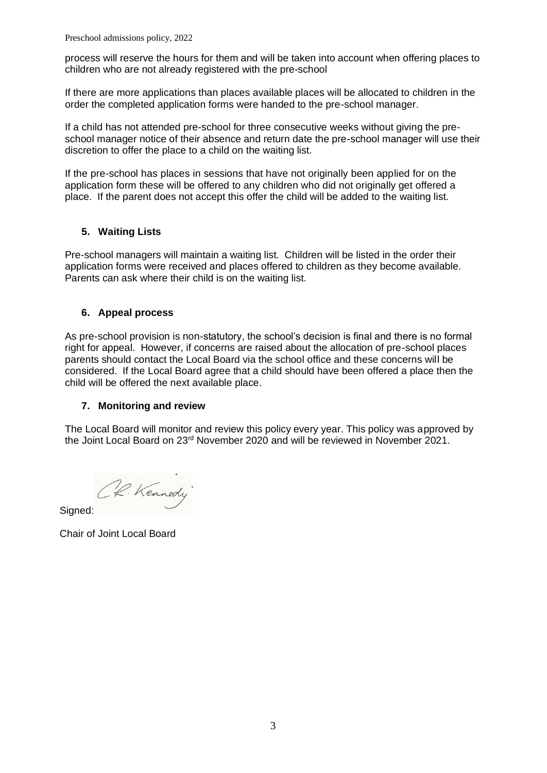process will reserve the hours for them and will be taken into account when offering places to children who are not already registered with the pre-school

If there are more applications than places available places will be allocated to children in the order the completed application forms were handed to the pre-school manager.

If a child has not attended pre-school for three consecutive weeks without giving the preschool manager notice of their absence and return date the pre-school manager will use their discretion to offer the place to a child on the waiting list.

If the pre-school has places in sessions that have not originally been applied for on the application form these will be offered to any children who did not originally get offered a place. If the parent does not accept this offer the child will be added to the waiting list.

### **5. Waiting Lists**

Pre-school managers will maintain a waiting list. Children will be listed in the order their application forms were received and places offered to children as they become available. Parents can ask where their child is on the waiting list.

### **6. Appeal process**

As pre-school provision is non-statutory, the school's decision is final and there is no formal right for appeal. However, if concerns are raised about the allocation of pre-school places parents should contact the Local Board via the school office and these concerns will be considered. If the Local Board agree that a child should have been offered a place then the child will be offered the next available place.

### **7. Monitoring and review**

The Local Board will monitor and review this policy every year. This policy was approved by the Joint Local Board on 23rd November 2020 and will be reviewed in November 2021.

R. Kennedy

Signed:

Chair of Joint Local Board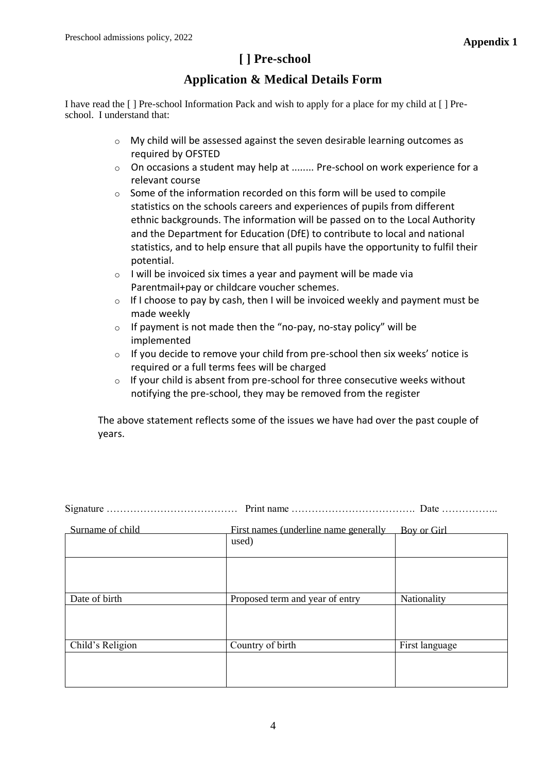# **[ ] Pre-school**

## **Application & Medical Details Form**

I have read the [ ] Pre-school Information Pack and wish to apply for a place for my child at [ ] Preschool. I understand that:

- o My child will be assessed against the seven desirable learning outcomes as required by OFSTED
- $\circ$  On occasions a student may help at ........ Pre-school on work experience for a relevant course
- $\circ$  Some of the information recorded on this form will be used to compile statistics on the schools careers and experiences of pupils from different ethnic backgrounds. The information will be passed on to the Local Authority and the Department for Education (DfE) to contribute to local and national statistics, and to help ensure that all pupils have the opportunity to fulfil their potential.
- $\circ$  I will be invoiced six times a year and payment will be made via Parentmail+pay or childcare voucher schemes.
- $\circ$  If I choose to pay by cash, then I will be invoiced weekly and payment must be made weekly
- $\circ$  If payment is not made then the "no-pay, no-stay policy" will be implemented
- $\circ$  If you decide to remove your child from pre-school then six weeks' notice is required or a full terms fees will be charged
- $\circ$  If your child is absent from pre-school for three consecutive weeks without notifying the pre-school, they may be removed from the register

The above statement reflects some of the issues we have had over the past couple of years.

Signature ………………………………… Print name ………………………………. Date ……………..

| Surname of child | First names (underline name generally | Boy or Girl    |
|------------------|---------------------------------------|----------------|
|                  | used)                                 |                |
|                  |                                       |                |
|                  |                                       |                |
| Date of birth    | Proposed term and year of entry       | Nationality    |
|                  |                                       |                |
| Child's Religion | Country of birth                      | First language |
|                  |                                       |                |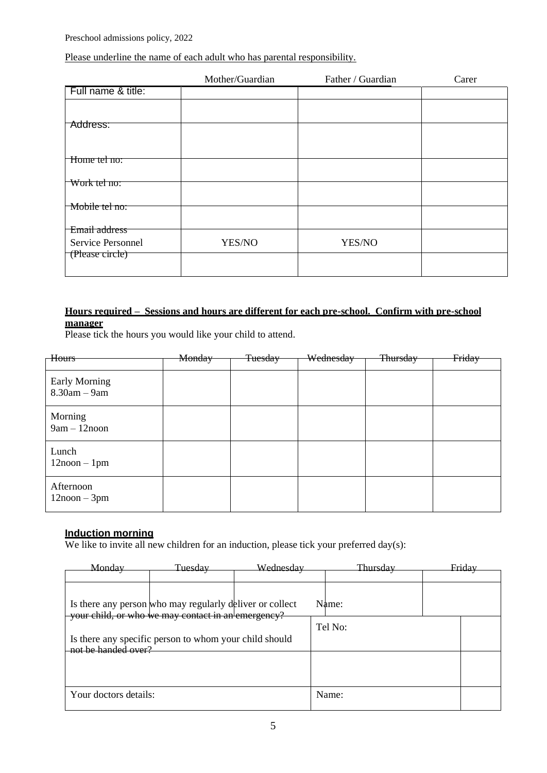### Please underline the name of each adult who has parental responsibility.

|                    | Mother/Guardian | Father / Guardian | Carer |
|--------------------|-----------------|-------------------|-------|
| Full name & title: |                 |                   |       |
|                    |                 |                   |       |
| Address:           |                 |                   |       |
| Home tel no:       |                 |                   |       |
| Work tel no:       |                 |                   |       |
|                    |                 |                   |       |
| Mobile tel no:     |                 |                   |       |
| Email address      |                 |                   |       |
| Service Personnel  | YES/NO          | YES/NO            |       |
| (Please circle)    |                 |                   |       |

### **Hours required – Sessions and hours are different for each pre-school. Confirm with pre-school manager**

Please tick the hours you would like your child to attend.

| Hours                              | Monday | <b>Tuesday</b> | Wednesday | Thursday | Friday |
|------------------------------------|--------|----------------|-----------|----------|--------|
|                                    |        |                |           |          |        |
| Early Morning<br>$8.30$ am $-9$ am |        |                |           |          |        |
| Morning<br>$9am - 12n$ oon         |        |                |           |          |        |
| Lunch<br>$12$ noon $-1$ pm         |        |                |           |          |        |
| Afternoon<br>$12$ noon $-3$ pm     |        |                |           |          |        |

# **Induction morning**

We like to invite all new children for an induction, please tick your preferred day(s):

| Mondav                | Tuesdav                                                                                                        | Wednesdav | Thursdav | Friday |  |
|-----------------------|----------------------------------------------------------------------------------------------------------------|-----------|----------|--------|--|
|                       |                                                                                                                |           |          |        |  |
|                       |                                                                                                                |           |          |        |  |
|                       | Is there any person who may regularly deliver or collect<br>your child, or who we may contact in an emergency? |           | Name:    |        |  |
|                       |                                                                                                                |           | Tel No:  |        |  |
| not be handed over?   | Is there any specific person to whom your child should                                                         |           |          |        |  |
|                       |                                                                                                                |           |          |        |  |
|                       |                                                                                                                |           |          |        |  |
| Your doctors details: |                                                                                                                |           | Name:    |        |  |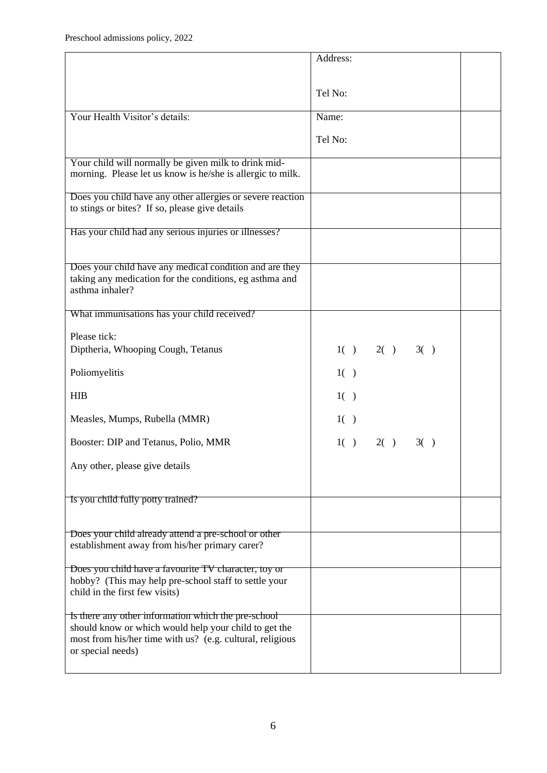|                                                                                                                                                                                                | Address:           |  |
|------------------------------------------------------------------------------------------------------------------------------------------------------------------------------------------------|--------------------|--|
|                                                                                                                                                                                                |                    |  |
|                                                                                                                                                                                                | Tel No:            |  |
| Your Health Visitor's details:                                                                                                                                                                 | Name:              |  |
|                                                                                                                                                                                                | Tel No:            |  |
|                                                                                                                                                                                                |                    |  |
| Your child will normally be given milk to drink mid-<br>morning. Please let us know is he/she is allergic to milk.                                                                             |                    |  |
| Does you child have any other allergies or severe reaction<br>to stings or bites? If so, please give details                                                                                   |                    |  |
| Has your child had any serious injuries or illnesses?                                                                                                                                          |                    |  |
| Does your child have any medical condition and are they<br>taking any medication for the conditions, eg asthma and<br>asthma inhaler?                                                          |                    |  |
| What immunisations has your child received?                                                                                                                                                    |                    |  |
| Please tick:<br>Diptheria, Whooping Cough, Tetanus                                                                                                                                             | $1() \t2() \t3()$  |  |
| Poliomyelitis                                                                                                                                                                                  | 1()                |  |
| <b>HIB</b>                                                                                                                                                                                     | 1()                |  |
| Measles, Mumps, Rubella (MMR)                                                                                                                                                                  | 1()                |  |
| Booster: DIP and Tetanus, Polio, MMR                                                                                                                                                           | $2() \t3()$<br>1() |  |
| Any other, please give details                                                                                                                                                                 |                    |  |
| Is you child fully potty trained?                                                                                                                                                              |                    |  |
| Does your child already attend a pre-school or other<br>establishment away from his/her primary carer?                                                                                         |                    |  |
| Does you child have a favourite TV character, toy or<br>hobby? (This may help pre-school staff to settle your<br>child in the first few visits)                                                |                    |  |
| Is there any other information which the pre-school<br>should know or which would help your child to get the<br>most from his/her time with us? (e.g. cultural, religious<br>or special needs) |                    |  |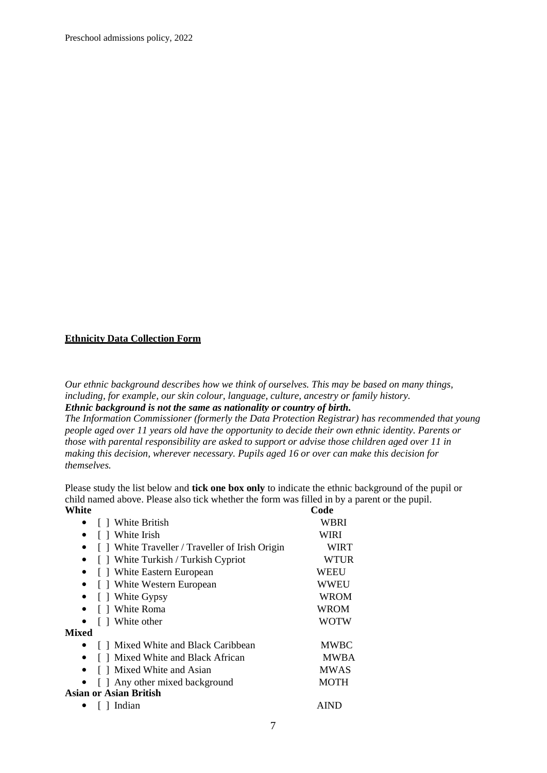Preschool admissions policy, 2022

### **Ethnicity Data Collection Form**

*Our ethnic background describes how we think of ourselves. This may be based on many things, including, for example, our skin colour, language, culture, ancestry or family history. Ethnic background is not the same as nationality or country of birth.*

*The Information Commissioner (formerly the Data Protection Registrar) has recommended that young people aged over 11 years old have the opportunity to decide their own ethnic identity. Parents or those with parental responsibility are asked to support or advise those children aged over 11 in making this decision, wherever necessary. Pupils aged 16 or over can make this decision for themselves.*

Please study the list below and **tick one box only** to indicate the ethnic background of the pupil or child named above. Please also tick whether the form was filled in by a parent or the pupil. **White** Code

| [ ] White British                               | WBRI        |
|-------------------------------------------------|-------------|
| [ ] White Irish                                 | WIRI        |
| [ ] White Traveller / Traveller of Irish Origin | <b>WIRT</b> |
| [ ] White Turkish / Turkish Cypriot             | WTUR        |
| [ ] White Eastern European                      | WEEU        |
| [] White Western European                       | WWEU        |
| [ ] White Gypsy                                 | WROM        |
| [ ] White Roma                                  | WROM        |
| [ ] White other                                 | WOTW        |
| <b>Mixed</b>                                    |             |
| [] Mixed White and Black Caribbean              | <b>MWBC</b> |
| [ ] Mixed White and Black African               | <b>MWBA</b> |
| [ ] Mixed White and Asian                       | <b>MWAS</b> |
| [ ] Any other mixed background                  | <b>MOTH</b> |
| <b>Asian or Asian British</b>                   |             |
| Indian                                          | AIND        |
|                                                 |             |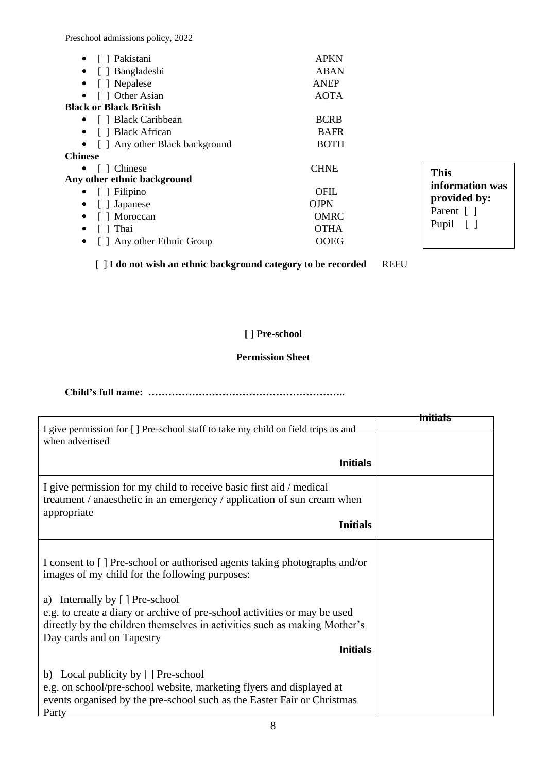Preschool admissions policy, 2022

| • $\Box$ Pakistani<br>• [ ] Bangladeshi<br>[ ] Nepalese<br>$\bullet$<br>[ ] Other Asian<br>$\bullet$ | <b>APKN</b><br><b>ABAN</b><br>ANEP<br><b>AOTA</b> |                  |
|------------------------------------------------------------------------------------------------------|---------------------------------------------------|------------------|
| <b>Black or Black British</b>                                                                        |                                                   |                  |
| • [ ] Black Caribbean                                                                                | <b>BCRB</b>                                       |                  |
| [ ] Black African<br>$\bullet$                                                                       | <b>BAFR</b>                                       |                  |
| • [ ] Any other Black background                                                                     | <b>BOTH</b>                                       |                  |
| <b>Chinese</b>                                                                                       |                                                   |                  |
| • $\Box$ Chinese                                                                                     | <b>CHNE</b>                                       | <b>This</b>      |
| Any other ethnic background                                                                          |                                                   | information was  |
| • $\Box$ Filipino                                                                                    | <b>OFIL</b>                                       | provided by:     |
| [ ] Japanese<br>$\bullet$                                                                            | <b>OJPN</b>                                       |                  |
| [ ] Moroccan<br>$\bullet$                                                                            | <b>OMRC</b>                                       | Parent []        |
| Thai<br>$\bullet$                                                                                    | <b>OTHA</b>                                       | Pupil<br>$\perp$ |
| Any other Ethnic Group<br>$\bullet$                                                                  | <b>OOEG</b>                                       |                  |

[ ] **I do not wish an ethnic background category to be recorded** REFU

## **[ ] Pre-school**

### **Permission Sheet**

**Child's full name: …………………………………………………..**

|                                                                                                                                                                                                                                                                                                                                                                         | Initials |
|-------------------------------------------------------------------------------------------------------------------------------------------------------------------------------------------------------------------------------------------------------------------------------------------------------------------------------------------------------------------------|----------|
| I give permission for [] Pre-school staff to take my child on field trips as and<br>when advertised                                                                                                                                                                                                                                                                     |          |
| <b>Initials</b>                                                                                                                                                                                                                                                                                                                                                         |          |
| I give permission for my child to receive basic first aid / medical<br>treatment / anaesthetic in an emergency / application of sun cream when<br>appropriate<br><b>Initials</b>                                                                                                                                                                                        |          |
|                                                                                                                                                                                                                                                                                                                                                                         |          |
| I consent to [] Pre-school or authorised agents taking photographs and/or<br>images of my child for the following purposes:<br>a) Internally by [] Pre-school<br>e.g. to create a diary or archive of pre-school activities or may be used<br>directly by the children themselves in activities such as making Mother's<br>Day cards and on Tapestry<br><b>Initials</b> |          |
| b) Local publicity by [ ] Pre-school<br>e.g. on school/pre-school website, marketing flyers and displayed at<br>events organised by the pre-school such as the Easter Fair or Christmas<br>Party                                                                                                                                                                        |          |